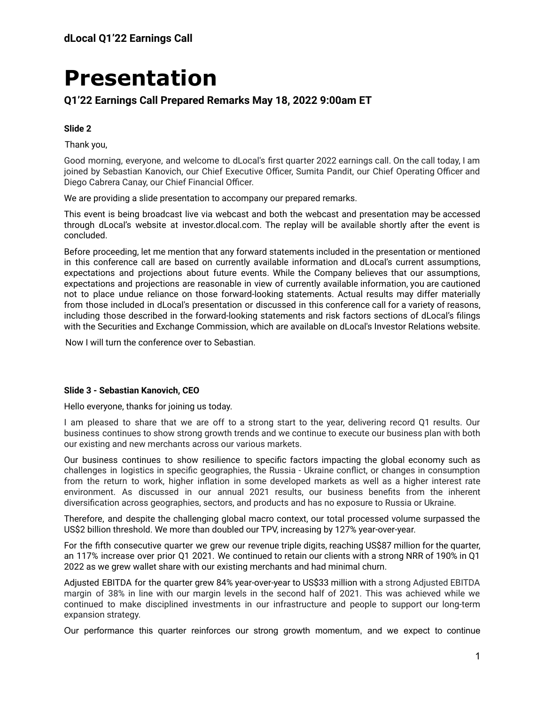# **Presentation**

# **Q1'22 Earnings Call Prepared Remarks May 18, 2022 9:00am ET**

## **Slide 2**

Thank you,

Good morning, everyone, and welcome to dLocal's first quarter 2022 earnings call. On the call today, I am joined by Sebastian Kanovich, our Chief Executive Officer, Sumita Pandit, our Chief Operating Officer and Diego Cabrera Canay, our Chief Financial Officer.

We are providing a slide presentation to accompany our prepared remarks.

This event is being broadcast live via webcast and both the webcast and presentation may be accessed through dLocal's website at investor.dlocal.com. The replay will be available shortly after the event is concluded.

Before proceeding, let me mention that any forward statements included in the presentation or mentioned in this conference call are based on currently available information and dLocal's current assumptions, expectations and projections about future events. While the Company believes that our assumptions, expectations and projections are reasonable in view of currently available information, you are cautioned not to place undue reliance on those forward-looking statements. Actual results may differ materially from those included in dLocal's presentation or discussed in this conference call for a variety of reasons, including those described in the forward-looking statements and risk factors sections of dLocal's filings with the Securities and Exchange Commission, which are available on dLocal's Investor Relations website.

Now I will turn the conference over to Sebastian.

## **Slide 3 - Sebastian Kanovich, CEO**

Hello everyone, thanks for joining us today.

I am pleased to share that we are off to a strong start to the year, delivering record Q1 results. Our business continues to show strong growth trends and we continue to execute our business plan with both our existing and new merchants across our various markets.

Our business continues to show resilience to specific factors impacting the global economy such as challenges in logistics in specific geographies, the Russia - Ukraine conflict, or changes in consumption from the return to work, higher inflation in some developed markets as well as a higher interest rate environment. As discussed in our annual 2021 results, our business benefits from the inherent diversification across geographies, sectors, and products and has no exposure to Russia or Ukraine.

Therefore, and despite the challenging global macro context, our total processed volume surpassed the US\$2 billion threshold. We more than doubled our TPV, increasing by 127% year-over-year.

For the fifth consecutive quarter we grew our revenue triple digits, reaching US\$87 million for the quarter, an 117% increase over prior Q1 2021. We continued to retain our clients with a strong NRR of 190% in Q1 2022 as we grew wallet share with our existing merchants and had minimal churn.

Adjusted EBITDA for the quarter grew 84% year-over-year to US\$33 million with a strong Adjusted EBITDA margin of 38% in line with our margin levels in the second half of 2021. This was achieved while we continued to make disciplined investments in our infrastructure and people to support our long-term expansion strategy.

Our performance this quarter reinforces our strong growth momentum, and we expect to continue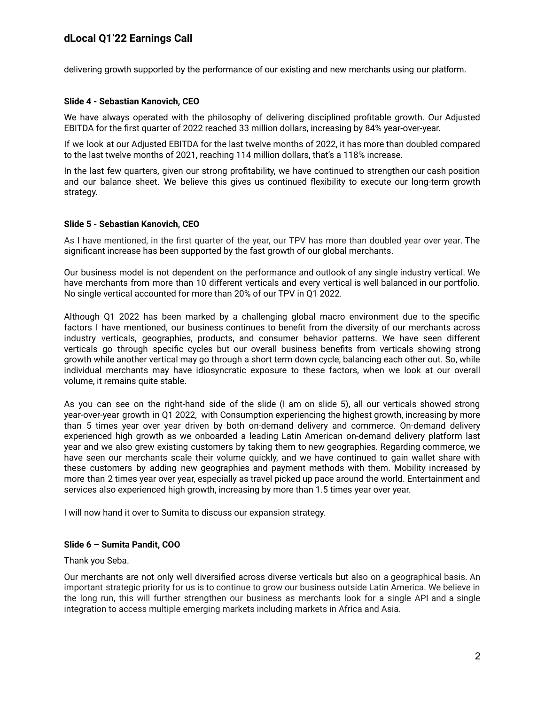delivering growth supported by the performance of our existing and new merchants using our platform.

## **Slide 4 - Sebastian Kanovich, CEO**

We have always operated with the philosophy of delivering disciplined profitable growth. Our Adjusted EBITDA for the first quarter of 2022 reached 33 million dollars, increasing by 84% year-over-year.

If we look at our Adjusted EBITDA for the last twelve months of 2022, it has more than doubled compared to the last twelve months of 2021, reaching 114 million dollars, that's a 118% increase.

In the last few quarters, given our strong profitability, we have continued to strengthen our cash position and our balance sheet. We believe this gives us continued flexibility to execute our long-term growth strategy.

## **Slide 5 - Sebastian Kanovich, CEO**

As I have mentioned, in the first quarter of the year, our TPV has more than doubled year over year. The significant increase has been supported by the fast growth of our global merchants.

Our business model is not dependent on the performance and outlook of any single industry vertical. We have merchants from more than 10 different verticals and every vertical is well balanced in our portfolio. No single vertical accounted for more than 20% of our TPV in Q1 2022.

Although Q1 2022 has been marked by a challenging global macro environment due to the specific factors I have mentioned, our business continues to benefit from the diversity of our merchants across industry verticals, geographies, products, and consumer behavior patterns. We have seen different verticals go through specific cycles but our overall business benefits from verticals showing strong growth while another vertical may go through a short term down cycle, balancing each other out. So, while individual merchants may have idiosyncratic exposure to these factors, when we look at our overall volume, it remains quite stable.

As you can see on the right-hand side of the slide (I am on slide 5), all our verticals showed strong year-over-year growth in Q1 2022, with Consumption experiencing the highest growth, increasing by more than 5 times year over year driven by both on-demand delivery and commerce. On-demand delivery experienced high growth as we onboarded a leading Latin American on-demand delivery platform last year and we also grew existing customers by taking them to new geographies. Regarding commerce, we have seen our merchants scale their volume quickly, and we have continued to gain wallet share with these customers by adding new geographies and payment methods with them. Mobility increased by more than 2 times year over year, especially as travel picked up pace around the world. Entertainment and services also experienced high growth, increasing by more than 1.5 times year over year.

I will now hand it over to Sumita to discuss our expansion strategy.

#### **Slide 6 – Sumita Pandit, COO**

Thank you Seba.

Our merchants are not only well diversified across diverse verticals but also on a geographical basis. An important strategic priority for us is to continue to grow our business outside Latin America. We believe in the long run, this will further strengthen our business as merchants look for a single API and a single integration to access multiple emerging markets including markets in Africa and Asia.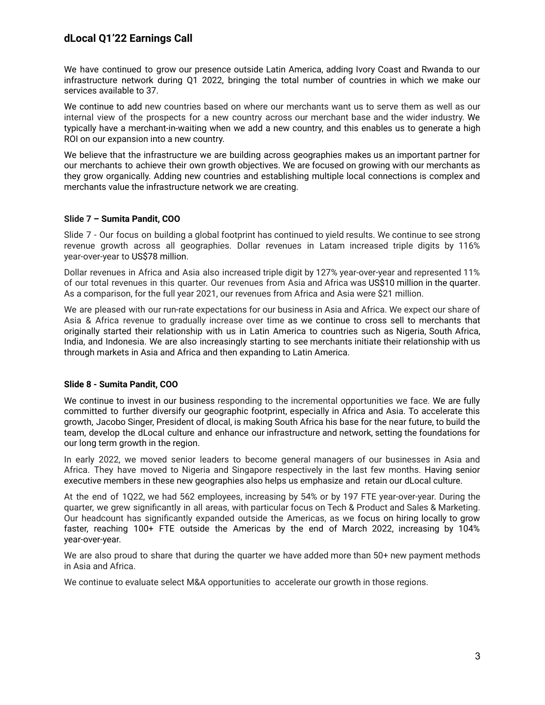We have continued to grow our presence outside Latin America, adding Ivory Coast and Rwanda to our infrastructure network during Q1 2022, bringing the total number of countries in which we make our services available to 37.

We continue to add new countries based on where our merchants want us to serve them as well as our internal view of the prospects for a new country across our merchant base and the wider industry. We typically have a merchant-in-waiting when we add a new country, and this enables us to generate a high ROI on our expansion into a new country.

We believe that the infrastructure we are building across geographies makes us an important partner for our merchants to achieve their own growth objectives. We are focused on growing with our merchants as they grow organically. Adding new countries and establishing multiple local connections is complex and merchants value the infrastructure network we are creating.

## **Slide 7 – Sumita Pandit, COO**

Slide 7 - Our focus on building a global footprint has continued to yield results. We continue to see strong revenue growth across all geographies. Dollar revenues in Latam increased triple digits by 116% year-over-year to US\$78 million.

Dollar revenues in Africa and Asia also increased triple digit by 127% year-over-year and represented 11% of our total revenues in this quarter. Our revenues from Asia and Africa was US\$10 million in the quarter. As a comparison, for the full year 2021, our revenues from Africa and Asia were \$21 million.

We are pleased with our run-rate expectations for our business in Asia and Africa. We expect our share of Asia & Africa revenue to gradually increase over time as we continue to cross sell to merchants that originally started their relationship with us in Latin America to countries such as Nigeria, South Africa, India, and Indonesia. We are also increasingly starting to see merchants initiate their relationship with us through markets in Asia and Africa and then expanding to Latin America.

## **Slide 8 - Sumita Pandit, COO**

We continue to invest in our business responding to the incremental opportunities we face. We are fully committed to further diversify our geographic footprint, especially in Africa and Asia. To accelerate this growth, Jacobo Singer, President of dlocal, is making South Africa his base for the near future, to build the team, develop the dLocal culture and enhance our infrastructure and network, setting the foundations for our long term growth in the region.

In early 2022, we moved senior leaders to become general managers of our businesses in Asia and Africa. They have moved to Nigeria and Singapore respectively in the last few months. Having senior executive members in these new geographies also helps us emphasize and retain our dLocal culture.

At the end of 1Q22, we had 562 employees, increasing by 54% or by 197 FTE year-over-year. During the quarter, we grew significantly in all areas, with particular focus on Tech & Product and Sales & Marketing. Our headcount has significantly expanded outside the Americas, as we focus on hiring locally to grow faster, reaching 100+ FTE outside the Americas by the end of March 2022, increasing by 104% year-over-year.

We are also proud to share that during the quarter we have added more than 50+ new payment methods in Asia and Africa.

We continue to evaluate select M&A opportunities to accelerate our growth in those regions.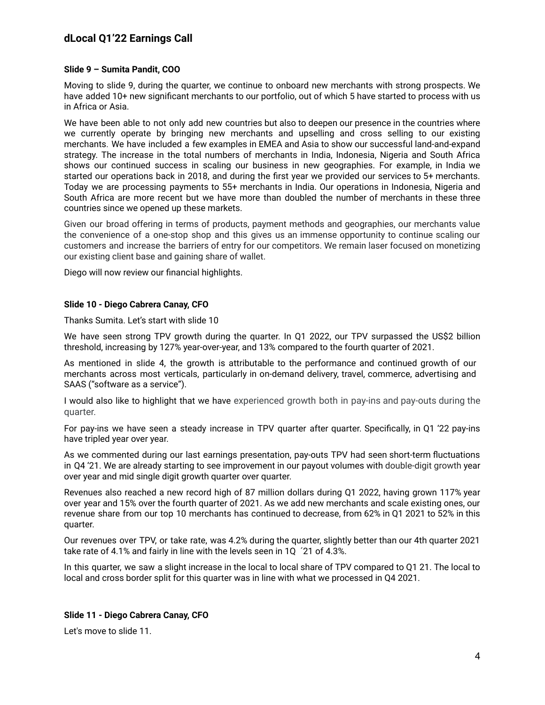## **Slide 9 – Sumita Pandit, COO**

Moving to slide 9, during the quarter, we continue to onboard new merchants with strong prospects. We have added 10+ new significant merchants to our portfolio, out of which 5 have started to process with us in Africa or Asia.

We have been able to not only add new countries but also to deepen our presence in the countries where we currently operate by bringing new merchants and upselling and cross selling to our existing merchants. We have included a few examples in EMEA and Asia to show our successful land-and-expand strategy. The increase in the total numbers of merchants in India, Indonesia, Nigeria and South Africa shows our continued success in scaling our business in new geographies. For example, in India we started our operations back in 2018, and during the first year we provided our services to 5+ merchants. Today we are processing payments to 55+ merchants in India. Our operations in Indonesia, Nigeria and South Africa are more recent but we have more than doubled the number of merchants in these three countries since we opened up these markets.

Given our broad offering in terms of products, payment methods and geographies, our merchants value the convenience of a one-stop shop and this gives us an immense opportunity to continue scaling our customers and increase the barriers of entry for our competitors. We remain laser focused on monetizing our existing client base and gaining share of wallet.

Diego will now review our financial highlights.

## **Slide 10 - Diego Cabrera Canay, CFO**

Thanks Sumita. Let's start with slide 10

We have seen strong TPV growth during the quarter. In Q1 2022, our TPV surpassed the US\$2 billion threshold, increasing by 127% year-over-year, and 13% compared to the fourth quarter of 2021.

As mentioned in slide 4, the growth is attributable to the performance and continued growth of our merchants across most verticals, particularly in on-demand delivery, travel, commerce, advertising and SAAS ("software as a service").

I would also like to highlight that we have experienced growth both in pay-ins and pay-outs during the quarter.

For pay-ins we have seen a steady increase in TPV quarter after quarter. Specifically, in Q1 '22 pay-ins have tripled year over year.

As we commented during our last earnings presentation, pay-outs TPV had seen short-term fluctuations in Q4 '21. We are already starting to see improvement in our payout volumes with double-digit growth year over year and mid single digit growth quarter over quarter.

Revenues also reached a new record high of 87 million dollars during Q1 2022, having grown 117% year over year and 15% over the fourth quarter of 2021. As we add new merchants and scale existing ones, our revenue share from our top 10 merchants has continued to decrease, from 62% in Q1 2021 to 52% in this quarter.

Our revenues over TPV, or take rate, was 4.2% during the quarter, slightly better than our 4th quarter 2021 take rate of 4.1% and fairly in line with the levels seen in 1Q ´21 of 4.3%.

In this quarter, we saw a slight increase in the local to local share of TPV compared to Q1 21. The local to local and cross border split for this quarter was in line with what we processed in Q4 2021.

## **Slide 11 - Diego Cabrera Canay, CFO**

Let's move to slide 11.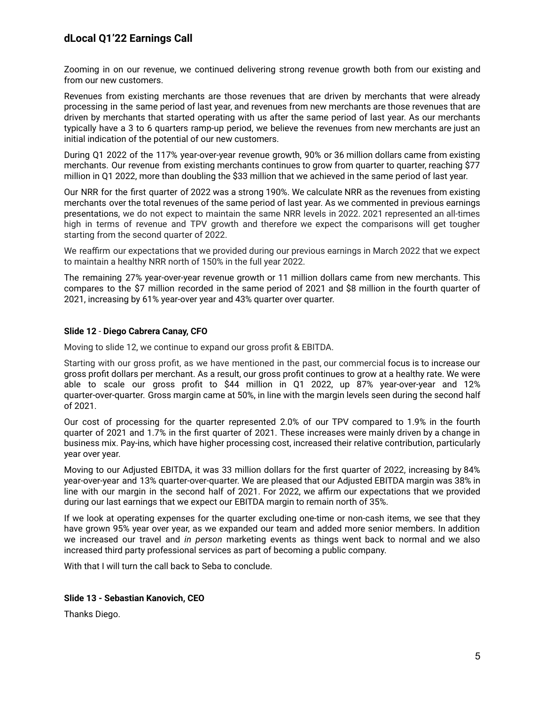Zooming in on our revenue, we continued delivering strong revenue growth both from our existing and from our new customers.

Revenues from existing merchants are those revenues that are driven by merchants that were already processing in the same period of last year, and revenues from new merchants are those revenues that are driven by merchants that started operating with us after the same period of last year. As our merchants typically have a 3 to 6 quarters ramp-up period, we believe the revenues from new merchants are just an initial indication of the potential of our new customers.

During Q1 2022 of the 117% year-over-year revenue growth, 90% or 36 million dollars came from existing merchants. Our revenue from existing merchants continues to grow from quarter to quarter, reaching \$77 million in Q1 2022, more than doubling the \$33 million that we achieved in the same period of last year.

Our NRR for the first quarter of 2022 was a strong 190%. We calculate NRR as the revenues from existing merchants over the total revenues of the same period of last year. As we commented in previous earnings presentations, we do not expect to maintain the same NRR levels in 2022. 2021 represented an all-times high in terms of revenue and TPV growth and therefore we expect the comparisons will get tougher starting from the second quarter of 2022.

We reaffirm our expectations that we provided during our previous earnings in March 2022 that we expect to maintain a healthy NRR north of 150% in the full year 2022.

The remaining 27% year-over-year revenue growth or 11 million dollars came from new merchants. This compares to the \$7 million recorded in the same period of 2021 and \$8 million in the fourth quarter of 2021, increasing by 61% year-over year and 43% quarter over quarter.

## **Slide 12** - **Diego Cabrera Canay, CFO**

Moving to slide 12, we continue to expand our gross profit & EBITDA.

Starting with our gross profit, as we have mentioned in the past, our commercial focus is to increase our gross profit dollars per merchant. As a result, our gross profit continues to grow at a healthy rate. We were able to scale our gross profit to \$44 million in Q1 2022, up 87% year-over-year and 12% quarter-over-quarter. Gross margin came at 50%, in line with the margin levels seen during the second half of 2021.

Our cost of processing for the quarter represented 2.0% of our TPV compared to 1.9% in the fourth quarter of 2021 and 1.7% in the first quarter of 2021. These increases were mainly driven by a change in business mix. Pay-ins, which have higher processing cost, increased their relative contribution, particularly year over year.

Moving to our Adjusted EBITDA, it was 33 million dollars for the first quarter of 2022, increasing by 84% year-over-year and 13% quarter-over-quarter. We are pleased that our Adjusted EBITDA margin was 38% in line with our margin in the second half of 2021. For 2022, we affirm our expectations that we provided during our last earnings that we expect our EBITDA margin to remain north of 35%.

If we look at operating expenses for the quarter excluding one-time or non-cash items, we see that they have grown 95% year over year, as we expanded our team and added more senior members. In addition we increased our travel and *in person* marketing events as things went back to normal and we also increased third party professional services as part of becoming a public company.

With that I will turn the call back to Seba to conclude.

## **Slide 13 - Sebastian Kanovich, CEO**

Thanks Diego.